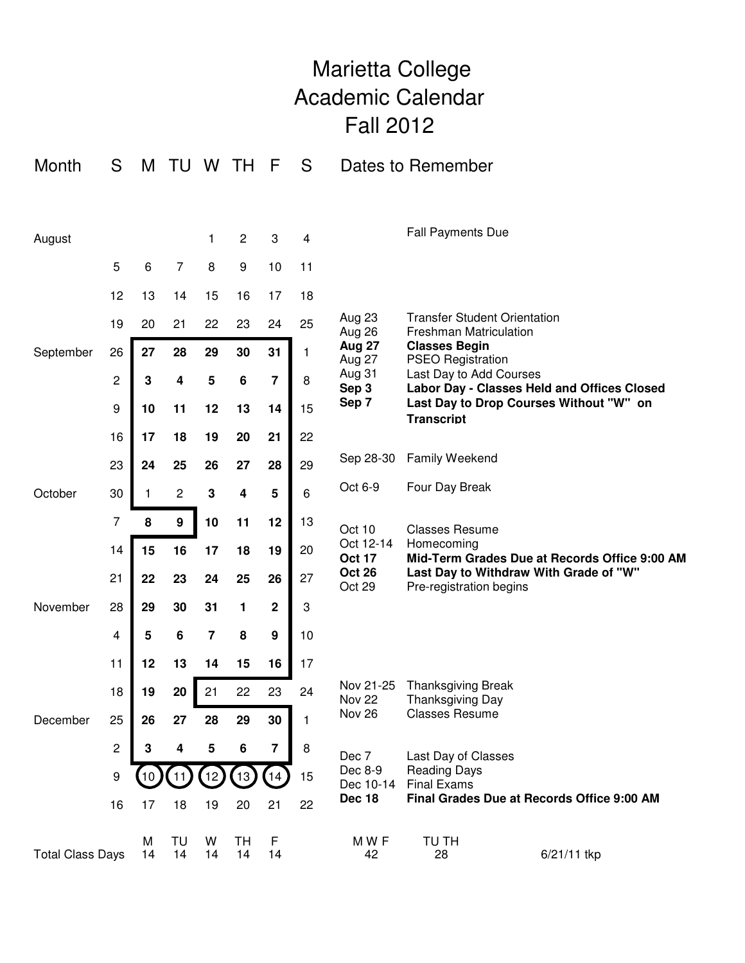## Marietta College Academic Calendar Fall 2012

| Month                   | S              | M       | TU               | W              | <b>TH</b>        | F       | S                       | Dates to Remember                                                       |                                                                                                                                                                                                                                                                    |  |  |
|-------------------------|----------------|---------|------------------|----------------|------------------|---------|-------------------------|-------------------------------------------------------------------------|--------------------------------------------------------------------------------------------------------------------------------------------------------------------------------------------------------------------------------------------------------------------|--|--|
|                         |                |         |                  |                |                  |         |                         |                                                                         |                                                                                                                                                                                                                                                                    |  |  |
| August                  |                |         |                  | 1              | $\mathbf{2}$     | 3       | $\overline{\mathbf{4}}$ |                                                                         | <b>Fall Payments Due</b>                                                                                                                                                                                                                                           |  |  |
|                         | 5              | 6       | $\overline{7}$   | 8              | $\boldsymbol{9}$ | 10      | 11                      |                                                                         |                                                                                                                                                                                                                                                                    |  |  |
|                         | 12             | 13      | 14               | 15             | 16               | 17      | 18                      | Aug 23<br>Aug 26<br><b>Aug 27</b><br>Aug 27<br>Aug 31<br>Sep 3<br>Sep 7 | <b>Transfer Student Orientation</b><br><b>Freshman Matriculation</b><br><b>Classes Begin</b><br><b>PSEO Registration</b><br>Last Day to Add Courses<br>Labor Day - Classes Held and Offices Closed<br>Last Day to Drop Courses Without "W" on<br><b>Transcript</b> |  |  |
|                         | 19             | 20      | 21               | 22             | 23               | 24      | 25                      |                                                                         |                                                                                                                                                                                                                                                                    |  |  |
| September               | 26             | 27      | 28               | 29             | 30               | 31      | 1                       |                                                                         |                                                                                                                                                                                                                                                                    |  |  |
|                         | $\overline{c}$ | 3       | 4                | 5              | $\bf 6$          | 7       | 8                       |                                                                         |                                                                                                                                                                                                                                                                    |  |  |
|                         | 9              | 10      | 11               | 12             | 13               | 14      | 15                      |                                                                         |                                                                                                                                                                                                                                                                    |  |  |
|                         | 16             | 17      | 18               | 19             | 20               | 21      | 22                      |                                                                         |                                                                                                                                                                                                                                                                    |  |  |
|                         | 23             | 24      | 25               | 26             | 27               | 28      | 29                      | Sep 28-30                                                               | Family Weekend                                                                                                                                                                                                                                                     |  |  |
| October                 | 30             | 1       | 2                | ${\bf 3}$      | 4                | 5       | 6                       | Oct 6-9                                                                 | Four Day Break                                                                                                                                                                                                                                                     |  |  |
|                         | 7              | 8       | $\boldsymbol{9}$ | 10             | 11               | 12      | 13                      | Oct 10<br>Oct 12-14<br><b>Oct 17</b><br><b>Oct 26</b><br>Oct 29         | <b>Classes Resume</b>                                                                                                                                                                                                                                              |  |  |
|                         | 14             | 15      | 16               | 17             | 18               | 19      | 20                      |                                                                         | Homecoming<br>Mid-Term Grades Due at Records Office 9:00 AM                                                                                                                                                                                                        |  |  |
|                         | 21             | 22      | 23               | 24             | 25               | 26      | 27                      |                                                                         | Last Day to Withdraw With Grade of "W"<br>Pre-registration begins                                                                                                                                                                                                  |  |  |
| November<br>December    | 28             | 29      | 30               | 31             | 1                | 2       | 3                       |                                                                         |                                                                                                                                                                                                                                                                    |  |  |
|                         | 4              | 5       | 6                | $\overline{7}$ | 8                | 9       | 10                      |                                                                         |                                                                                                                                                                                                                                                                    |  |  |
|                         | 11             | 12      | 13               | 14             | 15               | 16      | 17                      |                                                                         |                                                                                                                                                                                                                                                                    |  |  |
|                         | 18             | 19      | 20               | 21             | 22               | 23      | 24                      | Nov 21-25<br>Nov <sub>22</sub><br>Nov 26                                | <b>Thanksgiving Break</b><br>Thanksgiving Day<br><b>Classes Resume</b>                                                                                                                                                                                             |  |  |
|                         | 25             | 26      | 27               | 28             | 29               | 30      | 1                       |                                                                         |                                                                                                                                                                                                                                                                    |  |  |
|                         | $\mathbf 2$    | 3       | 4                | ${\bf 5}$      | 6                | 7       | $\, 8$                  | Dec 7                                                                   | Last Day of Classes<br><b>Reading Days</b><br><b>Final Exams</b>                                                                                                                                                                                                   |  |  |
|                         | 9              |         |                  | 12             | 13 <sub>2</sub>  | 14      | 15                      | Dec 8-9<br>Dec 10-14                                                    |                                                                                                                                                                                                                                                                    |  |  |
|                         | 16             | 17      | 18               | 19             | 20               | 21      | 22                      | Dec 18                                                                  | Final Grades Due at Records Office 9:00 AM                                                                                                                                                                                                                         |  |  |
| <b>Total Class Days</b> |                | М<br>14 | TU<br>14         | W<br>14        | TH<br>14         | F<br>14 |                         | M W F<br>42                                                             | TU TH<br>6/21/11 tkp<br>28                                                                                                                                                                                                                                         |  |  |